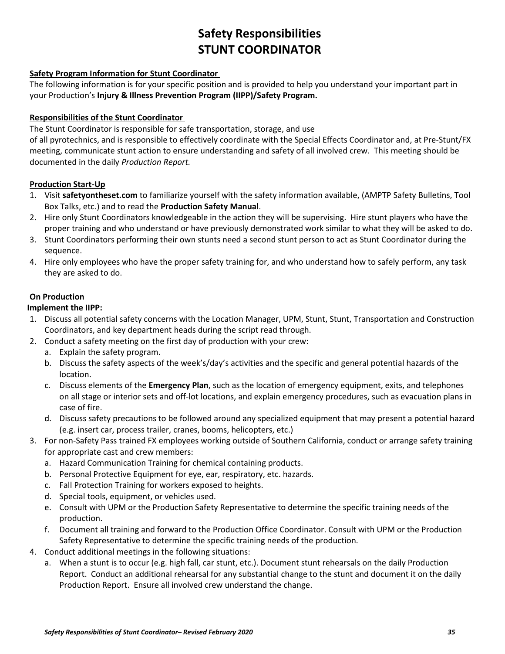# **Safety Responsibilities STUNT COORDINATOR**

## **Safety Program Information for Stunt Coordinator**

The following information is for your specific position and is provided to help you understand your important part in your Production's **Injury & Illness Prevention Program (IIPP)/Safety Program.**

## **Responsibilities of the Stunt Coordinator**

The Stunt Coordinator is responsible for safe transportation, storage, and use

of all pyrotechnics, and is responsible to effectively coordinate with the Special Effects Coordinator and, at Pre-Stunt/FX meeting, communicate stunt action to ensure understanding and safety of all involved crew. This meeting should be documented in the daily *Production Report.* 

## **Production Start-Up**

- 1. Visit **safetyontheset.com** to familiarize yourself with the safety information available, (AMPTP Safety Bulletins, Tool Box Talks, etc.) and to read the **Production Safety Manual**.
- 2. Hire only Stunt Coordinators knowledgeable in the action they will be supervising. Hire stunt players who have the proper training and who understand or have previously demonstrated work similar to what they will be asked to do.
- 3. Stunt Coordinators performing their own stunts need a second stunt person to act as Stunt Coordinator during the sequence.
- 4. Hire only employees who have the proper safety training for, and who understand how to safely perform, any task they are asked to do.

#### **On Production**

#### **Implement the IIPP:**

- 1. Discuss all potential safety concerns with the Location Manager, UPM, Stunt, Stunt, Transportation and Construction Coordinators, and key department heads during the script read through.
- 2. Conduct a safety meeting on the first day of production with your crew:
	- a. Explain the safety program.
	- b. Discuss the safety aspects of the week's/day's activities and the specific and general potential hazards of the location.
	- c. Discuss elements of the **Emergency Plan**, such as the location of emergency equipment, exits, and telephones on all stage or interior sets and off-lot locations, and explain emergency procedures, such as evacuation plans in case of fire.
	- d. Discuss safety precautions to be followed around any specialized equipment that may present a potential hazard (e.g. insert car, process trailer, cranes, booms, helicopters, etc.)
- 3. For non-Safety Pass trained FX employees working outside of Southern California, conduct or arrange safety training for appropriate cast and crew members:
	- a. Hazard Communication Training for chemical containing products.
	- b. Personal Protective Equipment for eye, ear, respiratory, etc. hazards.
	- c. Fall Protection Training for workers exposed to heights.
	- d. Special tools, equipment, or vehicles used.
	- e. Consult with UPM or the Production Safety Representative to determine the specific training needs of the production.
	- f. Document all training and forward to the Production Office Coordinator. Consult with UPM or the Production Safety Representative to determine the specific training needs of the production.
- 4. Conduct additional meetings in the following situations:
	- a. When a stunt is to occur (e.g. high fall, car stunt, etc.). Document stunt rehearsals on the daily Production Report. Conduct an additional rehearsal for any substantial change to the stunt and document it on the daily Production Report. Ensure all involved crew understand the change.